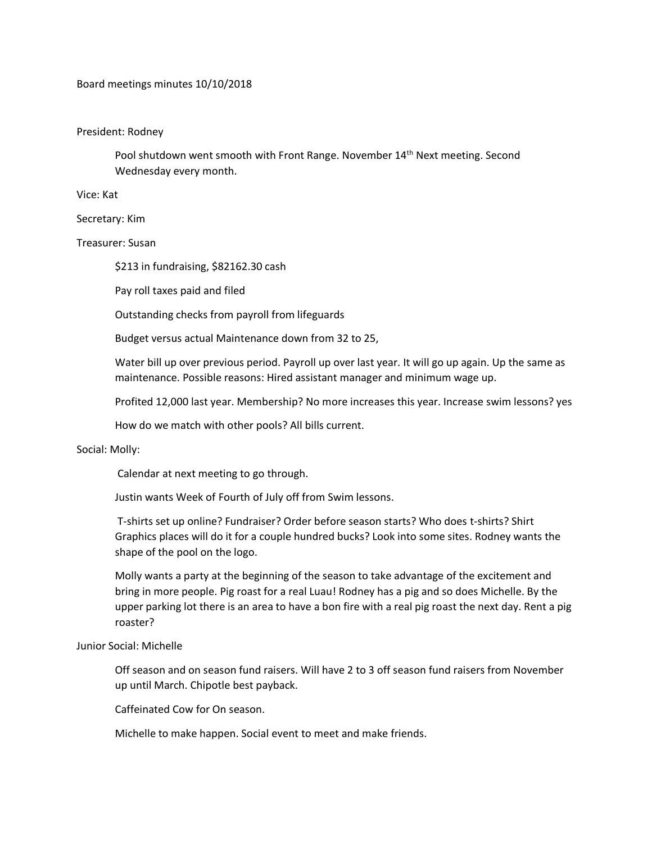# Board meetings minutes 10/10/2018

## President: Rodney

Pool shutdown went smooth with Front Range. November 14<sup>th</sup> Next meeting. Second Wednesday every month.

Vice: Kat

Secretary: Kim

Treasurer: Susan

\$213 in fundraising, \$82162.30 cash

Pay roll taxes paid and filed

Outstanding checks from payroll from lifeguards

Budget versus actual Maintenance down from 32 to 25,

Water bill up over previous period. Payroll up over last year. It will go up again. Up the same as maintenance. Possible reasons: Hired assistant manager and minimum wage up.

Profited 12,000 last year. Membership? No more increases this year. Increase swim lessons? yes

How do we match with other pools? All bills current.

### Social: Molly:

Calendar at next meeting to go through.

Justin wants Week of Fourth of July off from Swim lessons.

T-shirts set up online? Fundraiser? Order before season starts? Who does t-shirts? Shirt Graphics places will do it for a couple hundred bucks? Look into some sites. Rodney wants the shape of the pool on the logo.

Molly wants a party at the beginning of the season to take advantage of the excitement and bring in more people. Pig roast for a real Luau! Rodney has a pig and so does Michelle. By the upper parking lot there is an area to have a bon fire with a real pig roast the next day. Rent a pig roaster?

### Junior Social: Michelle

Off season and on season fund raisers. Will have 2 to 3 off season fund raisers from November up until March. Chipotle best payback.

Caffeinated Cow for On season.

Michelle to make happen. Social event to meet and make friends.